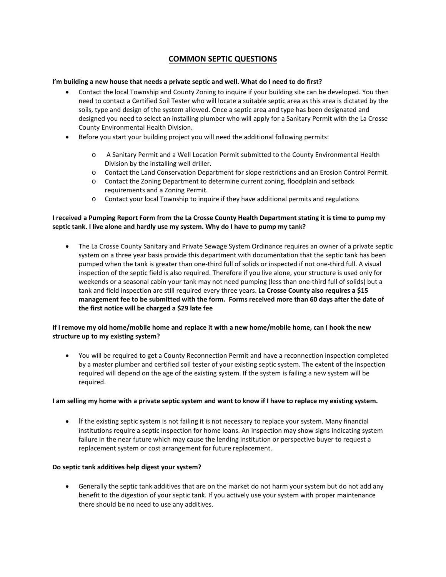# **COMMON SEPTIC QUESTIONS**

### **I'm building a new house that needs a private septic and well. What do I need to do first?**

- Contact the local Township and County Zoning to inquire if your building site can be developed. You then need to contact a Certified Soil Tester who will locate a suitable septic area as this area is dictated by the soils, type and design of the system allowed. Once a septic area and type has been designated and designed you need to select an installing plumber who will apply for a Sanitary Permit with the La Crosse County Environmental Health Division.
- Before you start your building project you will need the additional following permits:
	- o A Sanitary Permit and a Well Location Permit submitted to the County Environmental Health Division by the installing well driller.
	- o Contact the Land Conservation Department for slope restrictions and an Erosion Control Permit.
	- o Contact the Zoning Department to determine current zoning, floodplain and setback requirements and a Zoning Permit.
	- o Contact your local Township to inquire if they have additional permits and regulations

# **I received a Pumping Report Form from the La Crosse County Health Department stating it is time to pump my septic tank. I live alone and hardly use my system. Why do I have to pump my tank?**

• The La Crosse County Sanitary and Private Sewage System Ordinance requires an owner of a private septic system on a three year basis provide this department with documentation that the septic tank has been pumped when the tank is greater than one-third full of solids or inspected if not one-third full. A visual inspection of the septic field is also required. Therefore if you live alone, your structure is used only for weekends or a seasonal cabin your tank may not need pumping (less than one-third full of solids) but a tank and field inspection are still required every three years. **La Crosse County also requires a \$15 management fee to be submitted with the form. Forms received more than 60 days after the date of the first notice will be charged a \$29 late fee**

# **If I remove my old home/mobile home and replace it with a new home/mobile home, can I hook the new structure up to my existing system?**

• You will be required to get a County Reconnection Permit and have a reconnection inspection completed by a master plumber and certified soil tester of your existing septic system. The extent of the inspection required will depend on the age of the existing system. If the system is failing a new system will be required.

#### **I am selling my home with a private septic system and want to know if I have to replace my existing system.**

If the existing septic system is not failing it is not necessary to replace your system. Many financial institutions require a septic inspection for home loans. An inspection may show signs indicating system failure in the near future which may cause the lending institution or perspective buyer to request a replacement system or cost arrangement for future replacement.

# **Do septic tank additives help digest your system?**

• Generally the septic tank additives that are on the market do not harm your system but do not add any benefit to the digestion of your septic tank. If you actively use your system with proper maintenance there should be no need to use any additives.